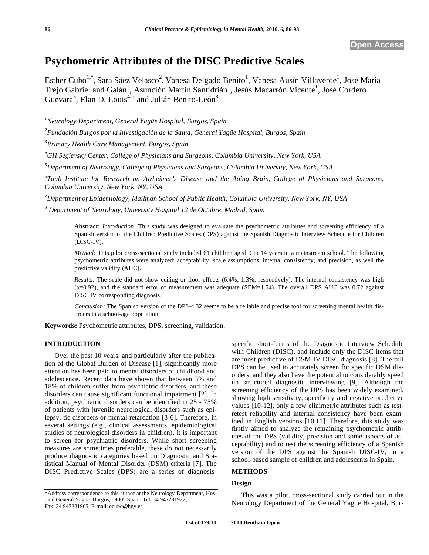# **Psychometric Attributes of the DISC Predictive Scales**

Esther Cubo<sup>1,\*</sup>, Sara Sáez Velasco<sup>2</sup>, Vanesa Delgado Benito<sup>1</sup>, Vanesa Ausín Villaverde<sup>1</sup>, José María Trejo Gabriel and Galán<sup>1</sup>, Asunción Martín Santidrián<sup>1</sup>, Jesús Macarrón Vicente<sup>1</sup>, José Cordero Guevara<sup>3</sup>, Elan D. Louis<sup>4-7</sup> and Julián Benito-León<sup>8</sup>

*1 Neurology Department, General Yagüe Hospital, Burgos, Spain* 

*2 Fundación Burgos por la Investigación de la Salud, General Yagüe Hospital, Burgos, Spain* 

*3 Primary Health Care Management, Burgos, Spain* 

*4 GH Segievsky Center, College of Physicians and Surgeons, Columbia University, New York, USA* 

*5 Department of Neurology, College of Physicians and Surgeons, Columbia University, New York, USA* 

*6 Taub Institute for Research on Alzheimer's Disease and the Aging Brain, College of Physicians and Surgeons, Columbia University, New York, NY, USA*

*7 Department of Epidemiology, Mailman School of Public Health, Columbia University, New York, NY, USA*

*8 Department of Neurology, University Hospital 12 de Octubre, Madrid, Spain* 

**Abstract:** *Introduction:* This study was designed to evaluate the psychometric attributes and screening efficiency of a Spanish version of the Children Predictive Scales (DPS) against the Spanish Diagnostic Interview Schedule for Children (DISC-IV).

*Method:* This pilot cross-sectional study included 61 children aged 9 to 14 years in a mainstream school. The following psychometric attributes were analyzed: acceptability, scale assumptions, internal consistency, and precision, as well the predictive validity (AUC).

*Results:* The scale did not show ceiling or floor effects (6.4%, 1.3%, respectively). The internal consistency was high  $(\alpha=0.92)$ , and the standard error of measurement was adequate (SEM=1.54). The overall DPS AUC was 0.72 against DISC IV corresponding diagnosis.

*Conclusion:* The Spanish version of the DPS-4.32 seems to be a reliable and precise tool for screening mental health disorders in a school-age population.

**Keywords:** Psychometric attributes, DPS, screening, validation.

## **INTRODUCTION**

Over the past 10 years, and particularly after the publication of the Global Burden of Disease [1], significantly more attention has been paid to mental disorders of childhood and adolescence. Recent data have shown that between 3% and 18% of children suffer from psychiatric disorders, and these disorders can cause significant functional impairment [2]. In addition, psychiatric disorders can be identified in 25 - 75% of patients with juvenile neurological disorders such as epilepsy, tic disorders or mental retardation [3-6]. Therefore, in several settings (e.g., clinical assessments, epidemiological studies of neurological disorders in children), it is important to screen for psychiatric disorders. While short screening measures are sometimes preferable, these do not necessarily produce diagnostic categories based on Diagnostic and Statistical Manual of Mental Disorder (DSM) criteria [7]. The DISC Predictive Scales (DPS) are a series of diagnosisspecific short-forms of the Diagnostic Interview Schedule with Children (DISC), and include only the DISC items that are most predictive of DSM-IV DISC diagnosis [8]. The full DPS can be used to accurately screen for specific DSM disorders, and they also have the potential to considerably speed up structured diagnostic interviewing [9]. Although the screening efficiency of the DPS has been widely examined, showing high sensitivity, specificity and negative predictive values [10-12], only a few clinimetric attributes such as testretest reliability and internal consistency have been examined in English versions [10,11]. Therefore, this study was firstly aimed to analyze the remaining psychometric attributes of the DPS (validity, precision and some aspects of acceptability) and to test the screening efficiency of a Spanish version of the DPS against the Spanish DISC-IV, in a school-based sample of children and adolescents in Spain.

## **METHODS**

# **Design**

This was a pilot, cross-sectional study carried out in the Neurology Department of the General Yague Hospital, Bur-

<sup>\*</sup>Address correspondence to this author at the Neurology Department, Hospital General Yague, Burgos, 09005 Spain; Tel: 34 947281922; Fax: 34 947281965; E-mail: ecubo@hgy.es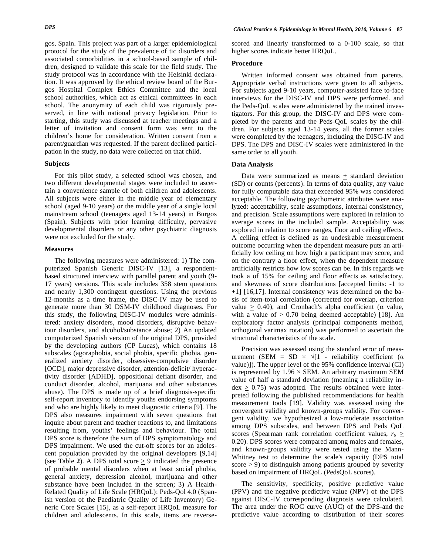gos, Spain. This project was part of a larger epidemiological protocol for the study of the prevalence of tic disorders and associated comorbidities in a school-based sample of children, designed to validate this scale for the field study. The study protocol was in accordance with the Helsinki declaration. It was approved by the ethical review board of the Burgos Hospital Complex Ethics Committee and the local school authorities, which act as ethical committees in each school. The anonymity of each child was rigorously preserved, in line with national privacy legislation. Prior to starting, this study was discussed at teacher meetings and a letter of invitation and consent form was sent to the children's home for consideration. Written consent from a parent/guardian was requested. If the parent declined partici-

## **Subjects**

For this pilot study, a selected school was chosen, and two different developmental stages were included to ascertain a convenience sample of both children and adolescents. All subjects were either in the middle year of elementary school (aged 9-10 years) or the middle year of a single local mainstream school (teenagers aged 13-14 years) in Burgos (Spain). Subjects with prior learning difficulty, pervasive developmental disorders or any other psychiatric diagnosis were not excluded for the study.

pation in the study, no data were collected on that child.

#### **Measures**

The following measures were administered: 1) The computerized Spanish Generic DISC-IV [13], a respondentbased structured interview with parallel parent and youth (9- 17 years) versions. This scale includes 358 stem questions and nearly 1,300 contingent questions. Using the previous 12-months as a time frame, the DISC-IV may be used to generate more than 30 DSM-IV childhood diagnoses. For this study, the following DISC-IV modules were administered: anxiety disorders, mood disorders, disruptive behaviour disorders, and alcohol/substance abuse; 2) An updated computerized Spanish version of the original DPS, provided by the developing authors (CP Lucas), which contains 18 subscales (agoraphobia, social phobia, specific phobia, generalized anxiety disorder, obsessive-compulsive disorder [OCD], major depressive disorder, attention-deficit/ hyperactivity disorder [ADHD], oppositional defiant disorder, and conduct disorder, alcohol, marijuana and other substances abuse). The DPS is made up of a brief diagnosis-specific self-report inventory to identify youths endorsing symptoms and who are highly likely to meet diagnostic criteria [9]. The DPS also measures impairment with seven questions that inquire about parent and teacher reactions to, and limitations resulting from, youths' feelings and behaviour. The total DPS score is therefore the sum of DPS symptomatology and DPS impairment. We used the cut-off scores for an adolescent population provided by the original developers [9,14] (see Table 2). A DPS total score  $\geq$  9 indicated the presence of probable mental disorders when at least social phobia, general anxiety, depression alcohol, marijuana and other substance have been included in the screen; 3) A Health-Related Quality of Life Scale (HRQoL): Peds-Qol 4.0 (Spanish version of the Paediatric Quality of Life Inventory) Generic Core Scales [15], as a self-report HRQoL measure for children and adolescents. In this scale, items are reversescored and linearly transformed to a 0-100 scale, so that higher scores indicate better HRQoL.

## **Procedure**

Written informed consent was obtained from parents. Appropriate verbal instructions were given to all subjects. For subjects aged 9-10 years, computer-assisted face to-face interviews for the DISC-IV and DPS were performed, and the Peds-QoL scales were administered by the trained investigators. For this group, the DISC-IV and DPS were completed by the parents and the Peds-QoL scales by the children. For subjects aged 13-14 years, all the former scales were completed by the teenagers, including the DISC-IV and DPS. The DPS and DISC-IV scales were administered in the same order to all youth.

#### **Data Analysis**

Data were summarized as means  $+$  standard deviation (SD) or counts (percents). In terms of data quality, any value for fully computable data that exceeded 95% was considered acceptable. The following psychometric attributes were analyzed: acceptability, scale assumptions, internal consistency, and precision. Scale assumptions were explored in relation to average scores in the included sample. Acceptability was explored in relation to score ranges, floor and ceiling effects. A ceiling effect is defined as an undesirable measurement outcome occurring when the dependent measure puts an artificially low ceiling on how high a participant may score, and on the contrary a floor effect, when the dependent measure artificially restricts how low scores can be. In this regards we took a of 15% for ceiling and floor effects as satisfactory, and skewness of score distributions [accepted limits: -1 to +1] [16,17]. Internal consistency was determined on the basis of item-total correlation (corrected for overlap, criterion value  $\geq$  0.40), and Cronbach's alpha coefficient ( $\alpha$  value, with a value of  $\geq 0.70$  being deemed acceptable) [18]. An exploratory factor analysis (principal components method, orthogonal varimax rotation) was performed to ascertain the structural characteristics of the scale.

Precision was assessed using the standard error of measurement (SEM = SD  $\times \sqrt{1}$  - reliability coefficient ( $\alpha$ value)]). The upper level of the 95% confidence interval (CI) is represented by  $1.96 \times$  SEM. An arbitrary maximum SEM value of half a standard deviation (meaning a reliability in $dex > 0.75$ ) was adopted. The results obtained were interpreted following the published recommendations for health measurement tools [19]. Validity was assessed using the convergent validity and known-groups validity. For convergent validity, we hypothesized a low-moderate association among DPS subscales, and between DPS and Peds QoL scores (Spearman rank correlation coefficient values,  $r_S \geq$ 0.20). DPS scores were compared among males and females, and known-groups validity were tested using the Mann-Whitney test to determine the scale's capacity (DPS total score  $\geq$  9) to distinguish among patients grouped by severity based on impairment of HRQoL (PedsQoL scores).

The sensitivity, specificity, positive predictive value (PPV) and the negative predictive value (NPV) of the DPS against DISC-IV corresponding diagnosis were calculated. The area under the ROC curve (AUC) of the DPS-and the predictive value according to distribution of their scores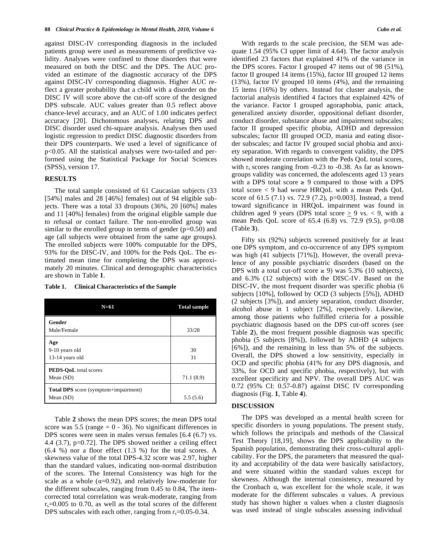against DISC-IV corresponding diagnosis in the included patients group were used as measurements of predictive validity. Analyses were confined to those disorders that were measured on both the DISC and the DPS. The AUC provided an estimate of the diagnostic accuracy of the DPS against DISC-IV corresponding diagnosis. Higher AUC reflect a greater probability that a child with a disorder on the DISC IV will score above the cut-off score of the designed DPS subscale. AUC values greater than 0.5 reflect above chance-level accuracy, and an AUC of 1.00 indicates perfect accuracy [20]. Dichotomous analyses, relating DPS and DISC disorder used chi-square analysis. Analyses then used logistic regression to predict DISC diagnostic disorders from their DPS counterparts. We used a level of significance of p<0.05. All the statistical analyses were two-tailed and performed using the Statistical Package for Social Sciences (SPSS), version 17.

#### **RESULTS**

The total sample consisted of 61 Caucasian subjects (33 [54%] males and 28 [46%] females) out of 94 eligible subjects. There was a total 33 dropouts (36%, 20 [60%] males and 11 [40%] females) from the original eligible sample due to refusal or contact failure. The non-enrolled group was similar to the enrolled group in terms of gender  $(p=0.50)$  and age (all subjects were obtained from the same age groups). The enrolled subjects were 100% computable for the DPS, 93% for the DISC-IV, and 100% for the Peds QoL. The estimated mean time for completing the DPS was approximately 20 minutes. Clinical and demographic characteristics are shown in Table **1**.

|  | Table 1. | <b>Clinical Characteristics of the Sample</b> |
|--|----------|-----------------------------------------------|
|--|----------|-----------------------------------------------|

| $N=61$                                                     | <b>Total sample</b> |
|------------------------------------------------------------|---------------------|
| Gender<br>Male/Female                                      | 33/28               |
| Age<br>9-10 years old<br>13-14 years old                   | 30<br>31            |
| <b>PEDS-OoL</b> total scores<br>Mean $(SD)$                | 71.1 (8.9)          |
| <b>Total DPS</b> score (symptom+impairment)<br>Mean $(SD)$ | 5.5(5.6)            |

Table **2** shows the mean DPS scores; the mean DPS total score was  $5.5$  (range = 0 - 36). No significant differences in DPS scores were seen in males versus females [6.4 (6.7) vs. 4.4 (3.7), p=0.72]. The DPS showed neither a ceiling effect (6.4 %) nor a floor effect (1.3 %) for the total scores. A skewness value of the total DPS-4.32 score was 2.97, higher than the standard values, indicating non-normal distribution of the scores. The Internal Consistency was high for the scale as a whole ( $\alpha$ =0.92), and relatively low-moderate for the different subscales, ranging from 0.45 to 0.84, The itemcorrected total correlation was weak-moderate, ranging from  $r_s$ =0.005 to 0.70, as well as the total scores of the different DPS subscales with each other, ranging from  $r_s = 0.05 - 0.34$ .

With regards to the scale precision, the SEM was adequate 1.54 (95% CI upper limit of 4.64). The factor analysis identified 23 factors that explained 41% of the variance in the DPS scores. Factor I grouped 47 items out of 98 (51%), factor II grouped 14 items (15%), factor III grouped 12 items (13%), factor IV grouped 10 items (4%), and the remaining 15 items (16%) by others. Instead for cluster analysis, the factorial analysis identified 4 factors that explained 42% of the variance. Factor I grouped agoraphobia, panic attack, generalized anxiety disorder, oppositional defiant disorder, conduct disorder, substance abuse and impairment subscales; factor II grouped specific phobia, ADHD and depression subscales; factor III grouped OCD, mania and eating disorder subscales; and factor IV grouped social phobia and anxiety separation. With regards to convergent validity, the DPS showed moderate correlation with the Peds QoL total scores, with  $r_s$  scores ranging from  $-0.23$  to  $-0.38$ . As far as knowngroups validity was concerned, the adolescents aged 13 years with a DPS total score  $\geq 9$  compared to those with a DPS total score < 9 had worse HRQoL with a mean Peds QoL score of 61.5 (7.1) vs. 72.9 (7.2), p=0.003]. Instead, a trend toward significance in HRQoL impairment was found in children aged 9 years (DPS total score  $> 9$  vs.  $< 9$ , with a mean Peds QoL score of 65.4 (6.8) vs. 72.9 (9.5), p=0.08 (Table **3**).

Fifty six (92%) subjects screened positively for at least one DPS symptom, and co-occurrence of any DPS symptom was high (41 subjects [71%]). However, the overall prevalence of any possible psychiatric disorders (based on the DPS with a total cut-off score  $\geq$  9) was 5.3% (10 subjects), and 6.3% (12 subjects) with the DISC-IV. Based on the DISC-IV, the most frequent disorder was specific phobia (6 subjects [10%], followed by OCD (3 subjects [5%]), ADHD (2 subjects [3%]), and anxiety separation, conduct disorder, alcohol abuse in 1 subject [2%], respectively. Likewise, among those patients who fulfilled criteria for a possible psychiatric diagnosis based on the DPS cut-off scores (see Table **2**), the most frequent possible diagnosis was specific phobia (5 subjects [8%]), followed by ADHD (4 subjects [6%]), and the remaining in less than 5% of the subjects. Overall, the DPS showed a low sensitivity, especially in OCD and specific phobia (41% for any DPS diagnosis, and 33%, for OCD and specific phobia, respectively), but with excellent specificity and NPV. The overall DPS AUC was 0.72 (95% CI: 0.57-0.87) against DISC IV corresponding diagnosis (Fig. **1**, Table **4**).

# **DISCUSSION**

The DPS was developed as a mental health screen for specific disorders in young populations. The present study, which follows the principals and methods of the Classical Test Theory [18,19], shows the DPS applicability to the Spanish population, demonstrating their cross-cultural applicability. For the DPS, the parameters that measured the quality and acceptability of the data were basically satisfactory, and were situated within the standard values except for skewness. Although the internal consistency, measured by the Cronbach  $\alpha$ , was excellent for the whole scale, it was moderate for the different subscales  $\alpha$  values. A previous study has shown higher  $\alpha$  values when a cluster diagnosis was used instead of single subscales assessing individual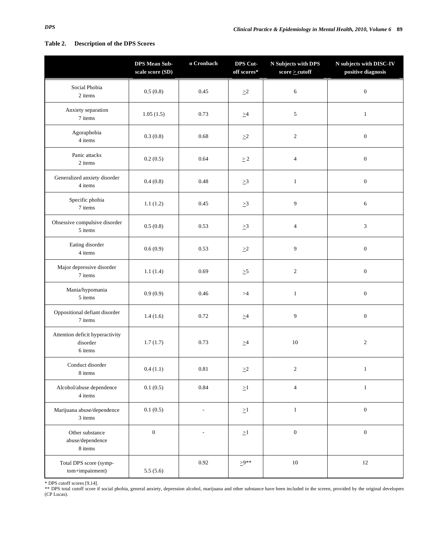# **Table 2. Description of the DPS Scores**

|                                                        | <b>DPS Mean Sub-</b><br>scale score $(SD)$ | $\alpha$ Cronbach        | DPS Cut-<br>off scores* | N Subjects with DPS<br>$\text{score} \geq \text{cutoff}$ | N subjects with DISC-IV<br>positive diagnosis |
|--------------------------------------------------------|--------------------------------------------|--------------------------|-------------------------|----------------------------------------------------------|-----------------------------------------------|
| Social Phobia<br>2 items                               | 0.5(0.8)                                   | 0.45                     | $\geq$ 2                | 6                                                        | $\boldsymbol{0}$                              |
| Anxiety separation<br>7 items                          | 1.05(1.5)                                  | 0.73                     | $\geq 4$                | $\sqrt{5}$                                               | $\mathbf{1}$                                  |
| Agoraphobia<br>4 items                                 | 0.3(0.8)                                   | 0.68                     | $\geq2$                 | $\sqrt{2}$                                               | $\mathbf{0}$                                  |
| Panic attacks<br>2 items                               | 0.2(0.5)                                   | 0.64                     | $\geq 2$                | $\overline{4}$                                           | $\boldsymbol{0}$                              |
| Generalized anxiety disorder<br>4 items                | 0.4(0.8)                                   | 0.48                     | $\geq 3$                | $\mathbf{1}$                                             | $\boldsymbol{0}$                              |
| Specific phobia<br>7 items                             | 1.1(1.2)                                   | 0.45                     | $\geq 3$                | 9                                                        | 6                                             |
| Obsessive compulsive disorder<br>5 items               | 0.5(0.8)                                   | 0.53                     | $\geq$ 3                | $\overline{4}$                                           | 3                                             |
| Eating disorder<br>4 items                             | 0.6(0.9)                                   | 0.53                     | $\geq\!\!2$             | $\mathbf{9}$                                             | $\boldsymbol{0}$                              |
| Major depressive disorder<br>7 items                   | 1.1(1.4)                                   | 0.69                     | $\geq 5$                | $\sqrt{2}$                                               | $\boldsymbol{0}$                              |
| Mania/hypomania<br>5 items                             | 0.9(0.9)                                   | 0.46                     | >4                      | $\mathbf{1}$                                             | $\boldsymbol{0}$                              |
| Oppositional defiant disorder<br>7 items               | 1.4(1.6)                                   | 0.72                     | $\geq 4$                | 9                                                        | $\boldsymbol{0}$                              |
| Attention deficit hyperactivity<br>disorder<br>6 items | 1.7(1.7)                                   | 0.73                     | $\geq 4$                | $10\,$                                                   | $\boldsymbol{2}$                              |
| Conduct disorder<br>8 items                            | 0.4(1.1)                                   | $0.81\,$                 | $\geq\!\!2$             | $\overline{c}$                                           | $\mathbf{1}$                                  |
| Alcohol/abuse dependence<br>4 items                    | 0.1(0.5)                                   | 0.84                     | $\geq\!\!1$             | $\overline{4}$                                           | $\,1\,$                                       |
| Marijuana abuse/dependence<br>3 items                  | 0.1(0.5)                                   | $\overline{\phantom{a}}$ | $\geq1$                 | $1\,$                                                    | $\boldsymbol{0}$                              |
| Other substance<br>abuse/dependence<br>8 items         | $\boldsymbol{0}$                           | $\overline{a}$           | $\geq$ 1                | $\boldsymbol{0}$                                         | $\boldsymbol{0}$                              |
| Total DPS score (symp-<br>tom+impairment)              | 5.5(5.6)                                   | 0.92                     | $\geq 9**$              | $10\,$                                                   | 12                                            |

\* DPS cutoff scores [9,14]. \*\* DPS total cutoff score if social phobia, general anxiety, depression alcohol, marijuana and other substance have been included in the screen, provided by the original developers (CP Lucas).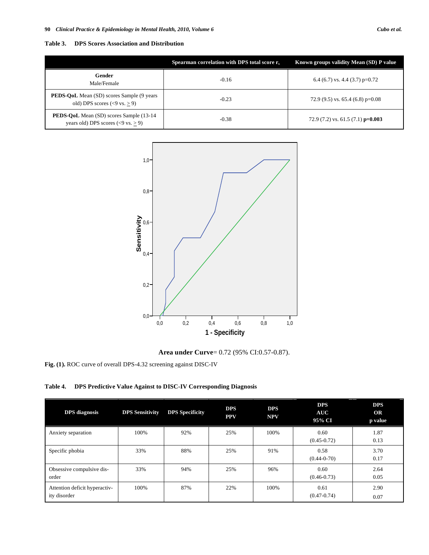**Table 3. DPS Scores Association and Distribution** 

|                                                                                                  | Spearman correlation with DPS total score $r_s$ | Known groups validity Mean (SD) P value |  |  |
|--------------------------------------------------------------------------------------------------|-------------------------------------------------|-----------------------------------------|--|--|
| Gender<br>Male/Female                                                                            | $-0.16$                                         | 6.4 (6.7) vs. 4.4 (3.7) $p=0.72$        |  |  |
| <b>PEDS-QoL</b> Mean (SD) scores Sample (9 years<br>old) DPS scores $(< 9 \text{ vs.} > 9)$      | $-0.23$                                         | 72.9 (9.5) vs. 65.4 (6.8) $p=0.08$      |  |  |
| <b>PEDS-QoL</b> Mean (SD) scores Sample (13-14)<br>years old) DPS scores $(< 9 \text{ vs.} > 9)$ | $-0.38$                                         | 72.9 (7.2) vs. 61.5 (7.1) $p=0.003$     |  |  |



**Area under Curve**= 0.72 (95% CI:0.57-0.87).

**Fig. (1).** ROC curve of overall DPS-4.32 screening against DISC-IV

**Table 4. DPS Predictive Value Against to DISC-IV Corresponding Diagnosis** 

| <b>DPS</b> diagnosis                          | <b>DPS Sensitivity</b> | <b>DPS</b> Specificity | <b>DPS</b><br><b>PPV</b> | <b>DPS</b><br><b>NPV</b> | <b>DPS</b><br>AUC<br>95% CI | <b>DPS</b><br><b>OR</b><br>p value |
|-----------------------------------------------|------------------------|------------------------|--------------------------|--------------------------|-----------------------------|------------------------------------|
| Anxiety separation                            | 100%                   | 92%                    | 25%                      | 100%                     | 0.60<br>$(0.45 - 0.72)$     | 1.87<br>0.13                       |
| Specific phobia                               | 33%                    | 88%                    | 25%                      | 91%                      | 0.58<br>$(0.44 - 0.70)$     | 3.70<br>0.17                       |
| Obsessive compulsive dis-<br>order            | 33%                    | 94%                    | 25%                      | 96%                      | 0.60<br>$(0.46 - 0.73)$     | 2.64<br>0.05                       |
| Attention deficit hyperactiv-<br>ity disorder | 100%                   | 87%                    | 22%                      | 100%                     | 0.61<br>$(0.47 - 0.74)$     | 2.90<br>0.07                       |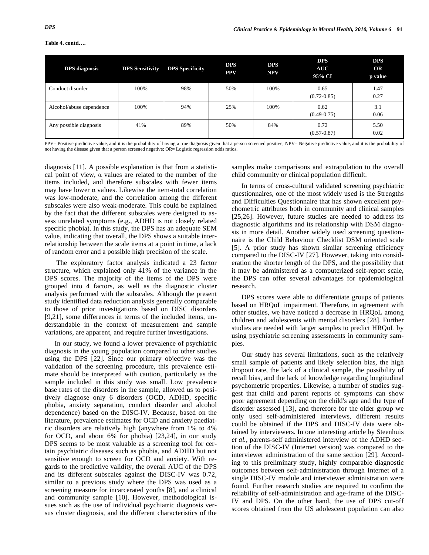| Table 4. contd |  |  |  |
|----------------|--|--|--|

| <b>DPS</b> diagnosis     | <b>DPS Sensitivity</b> | <b>DPS</b> Specificity | <b>DPS</b><br><b>PPV</b> | <b>DPS</b><br><b>NPV</b> | <b>DPS</b><br><b>AUC</b><br>95% CI | <b>DPS</b><br>OR<br>p value |
|--------------------------|------------------------|------------------------|--------------------------|--------------------------|------------------------------------|-----------------------------|
| Conduct disorder         | 100%                   | 98%                    | 50%                      | 100%                     | 0.65<br>$(0.72 - 0.85)$            | 1.47<br>0.27                |
| Alcohol/abuse dependence | 100%                   | 94%                    | 25%                      | 100%                     | 0.62<br>$(0.49 - 0.75)$            | 3.1<br>0.06                 |
| Any possible diagnosis   | 41%                    | 89%                    | 50%                      | 84%                      | 0.72<br>$(0.57 - 0.87)$            | 5.50<br>0.02                |

PPV= Positive predictive value, and it is the probability of having a true diagnosis given that a person screened positive; NPV= Negative predictive value, and it is the probability of not having the disease given that a person screened negative; OR= Logistic regression odds ratios.

diagnosis [11]. A possible explanation is that from a statistical point of view,  $\alpha$  values are related to the number of the items included, and therefore subscales with fewer items may have lower  $\alpha$  values. Likewise the item-total correlation was low-moderate, and the correlation among the different subscales were also weak-moderate. This could be explained by the fact that the different subscales were designed to assess unrelated symptoms (e.g., ADHD is not closely related specific phobia). In this study, the DPS has an adequate SEM value, indicating that overall, the DPS shows a suitable interrelationship between the scale items at a point in time, a lack of random error and a possible high precision of the scale.

 The exploratory factor analysis indicated a 23 factor structure, which explained only 41% of the variance in the DPS scores. The majority of the items of the DPS were grouped into 4 factors, as well as the diagnostic cluster analysis performed with the subscales. Although the present study identified data reduction analysis generally comparable to those of prior investigations based on DISC disorders [9,21], some differences in terms of the included items, understandable in the context of measurement and sample variations, are apparent, and require further investigations.

In our study, we found a lower prevalence of psychiatric diagnosis in the young population compared to other studies using the DPS [22]. Since our primary objective was the validation of the screening procedure, this prevalence estimate should be interpreted with caution, particularly as the sample included in this study was small. Low prevalence base rates of the disorders in the sample, allowed us to positively diagnose only 6 disorders (OCD, ADHD, specific phobia, anxiety separation, conduct disorder and alcohol dependence) based on the DISC-IV. Because, based on the literature, prevalence estimates for OCD and anxiety paediatric disorders are relatively high (anywhere from 1% to 4% for OCD, and about 6% for phobia) [23,24], in our study DPS seems to be most valuable as a screening tool for certain psychiatric diseases such as phobia, and ADHD but not sensitive enough to screen for OCD and anxiety. With regards to the predictive validity, the overall AUC of the DPS and its different subscales against the DISC-IV was 0.72, similar to a previous study where the DPS was used as a screening measure for incarcerated youths [8], and a clinical and community sample [10]. However, methodological issues such as the use of individual psychiatric diagnosis versus cluster diagnosis, and the different characteristics of the

samples make comparisons and extrapolation to the overall child community or clinical population difficult.

In terms of cross-cultural validated screening psychiatric questionnaires, one of the most widely used is the Strengths and Difficulties Questionnaire that has shown excellent psychometric attributes both in community and clinical samples [25,26]. However, future studies are needed to address its diagnostic algorithms and its relationship with DSM diagnosis in more detail. Another widely used screening questionnaire is the Child Behaviour Checklist DSM oriented scale [5]. A prior study has shown similar screening efficiency compared to the DISC-IV [27]. However, taking into consideration the shorter length of the DPS, and the possibility that it may be administered as a computerized self-report scale, the DPS can offer several advantages for epidemiological research.

DPS scores were able to differentiate groups of patients based on HRQoL impairment. Therefore, in agreement with other studies, we have noticed a decrease in HRQoL among children and adolescents with mental disorders [28]. Further studies are needed with larger samples to predict HRQoL by using psychiatric screening assessments in community samples.

Our study has several limitations, such as the relatively small sample of patients and likely selection bias, the high dropout rate, the lack of a clinical sample, the possibility of recall bias, and the lack of knowledge regarding longitudinal psychometric properties. Likewise, a number of studies suggest that child and parent reports of symptoms can show poor agreement depending on the child's age and the type of disorder assessed [13], and therefore for the older group we only used self-administered interviews, different results could be obtained if the DPS and DISC-IV data were obtained by interviewers. In one interesting article by Steenhuis *et al.*, parents-self administered interview of the ADHD section of the DISC-IV (Internet version) was compared to the interviewer administration of the same section [29]. According to this preliminary study, highly comparable diagnostic outcomes between self-administration through Internet of a single DISC-IV module and interviewer administration were found. Further research studies are required to confirm the reliability of self-administration and age-frame of the DISC-IV and DPS. On the other hand, the use of DPS cut-off scores obtained from the US adolescent population can also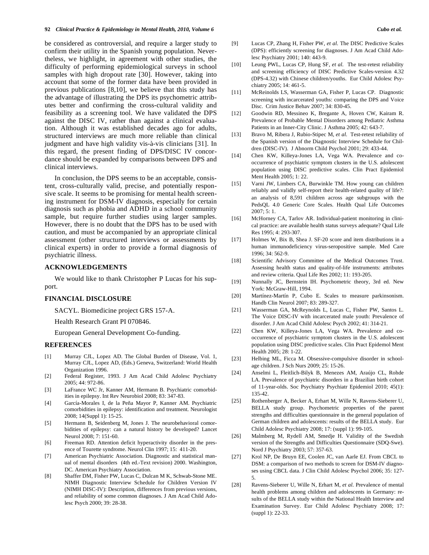#### **92** *Clinical Practice & Epidemiology in Mental Health, 2010, Volume 6 Cubo et al.*

be considered as controversial, and require a larger study to confirm their utility in the Spanish young population. Nevertheless, we highlight, in agreement with other studies, the difficulty of performing epidemiological surveys in school samples with high dropout rate [30]. However, taking into account that some of the former data have been provided in previous publications [8,10], we believe that this study has the advantage of illustrating the DPS its psychometric attributes better and confirming the cross-cultural validity and feasibility as a screening tool. We have validated the DPS against the DISC IV, rather than against a clinical evaluation. Although it was established decades ago for adults, structured interviews are much more reliable than clinical judgment and have high validity vis-à-vis clinicians [31]. In this regard, the present finding of DPS/DISC IV concordance should be expanded by comparisons between DPS and clinical interviews.

In conclusion, the DPS seems to be an acceptable, consistent, cross-culturally valid, precise, and potentially responsive scale. It seems to be promising for mental health screening instrument for DSM-IV diagnosis, especially for certain diagnosis such as phobia and ADHD in a school community sample, but require further studies using larger samples. However, there is no doubt that the DPS has to be used with caution, and must be accompanied by an appropriate clinical assessment (other structured interviews or assessments by clinical experts) in order to provide a formal diagnosis of psychiatric illness.

#### **ACKNOWLEDGEMENTS**

We would like to thank Christopher P Lucas for his support.

## **FINANCIAL DISCLOSURE**

SACYL. Biomedicine project GRS 157-A.

Health Research Grant PI 070846.

European General Development Co-funding.

#### **REFERENCES**

- [1] Murray CJL, Lopez AD. The Global Burden of Disease, Vol. 1, Murray CJL, Lopez AD, (Eds.) Geneva, Switzerland: World Health Organization 1996.
- [2] Federal Register, 1993. J Am Acad Child Adolesc Psychiatry 2005; 44: 972-86.
- [3] LaFrance WC Jr, Kanner AM, Hermann B. Psychiatric comorbidities in epilepsy. Int Rev Neurobiol 2008; 83: 347-83.
- [4] García-Morales I, de la Peña Mayor P, Kanner AM. Psychiatric comorbidities in epilepsy: identification and treatment. Neurologist 2008; 14(Suppl 1): 15-25.
- [5] Hermann B, Seidenberg M, Jones J. The neurobehavioral comorbidities of epilepsy: can a natural history be developed? Lancet Neurol 2008; 7: 151-60.
- [6] Freeman RD. Attention deficit hyperactivity disorder in the presence of Tourette syndrome. Neurol Clin 1997; 15: 411-20.
- [7] American Psychiatric Association. Diagnostic and statistical manual of mental disorders (4th ed.-Text revision) 2000. Washington, DC. American Psychiatry Association.
- [8] Shaffer DM, Fisher PW, Lucas C, Dulcan M K, Schwab-Stone ME. NIMH Diagnostic Interview Schedule for Children Version IV (NIMH DISC-IV): Description, differences from previous versions, and reliability of some common diagnoses. J Am Acad Child Adolesc Psych 2000; 39: 28-38.
- [9] Lucas CP, Zhang H, Fisher PW, *et al*. The DISC Predictive Scales (DPS): efficiently screening for diagnoses. J Am Acad Child Adolesc Psychiatry 2001; 140: 443-9.
- [10] Leung PWL, Lucas CP, Hung SF, *et al*. The test-retest reliability and screening efficiency of DISC Predictive Scales-version 4.32 (DPS-4.32) with Chinese children/youths. Eur Child Adolesc Psychiatry 2005; 14: 461-5.
- [11] McReinolds LS, Wasserman GA, Fisher P, Lucas CP. Diagnostic screening with incarcerated youths: comparing the DPS and Voice Disc. Crim Justice Behav 2007; 34: 830-45.
- [12] Goodwin RD, Messineo K, Bregante A, Hoven CW, Kairam R. Prevalence of Probable Mental Disorders among Pediatric Asthma Patients in an Inner-City Clinic. J Asthma 2005; 42: 643-7.
- [13] Bravo M, Ribera J, Rubio-Stipec M, *et al*. Test-retest reliability of the Spanish version of the Diagnostic Interview Schedule for Children (DISC-IV). J Abnorm Child Psychol 2001; 29: 433-44.
- [14] Chen KW, Killeya-Jones LA, Vega WA. Prevalence and cooccurrence of psychiatric symptom clusters in the U.S. adolescent population using DISC predictive scales. Clin Pract Epidemiol Ment Health 2005; 1: 22.
- [15] Varni JW, Limbers CA, Burwinkle TM. How young can children reliably and validly self-report their health-related quality of life?: an analysis of 8,591 children across age subgroups with the PedsQL 4.0 Generic Core Scales. Health Qual Life Outcomes 2007; 5: 1.
- [16] McHorney CA, Tarlov AR. Individual-patient monitoring in clinical practice: are available health status surveys adequate? Qual Life Res 1995; 4: 293-307.
- [17] Holmes W, Bix B, Shea J. SF-20 score and item distributions in a human immunodeficiency virus-seropositive sample. Med Care 1996; 34: 562-9.
- [18] Scientific Advisory Committee of the Medical Outcomes Trust. Assessing health status and quality-of-life instruments: attributes and review criteria. Qual Life Res 2002; 11: 193-205.
- [19] Nunnally JC, Bernstein IH. Psychometric theory, 3rd ed. New York: McGraw-Hill, 1994.
- [20] Martínez-Martín P, Cubo E. Scales to measure parkinsonism. Handb Clin Neurol 2007; 83: 289-327.
- [21] Wasserman GA, McReynolds L, Lucas C, Fisher PW, Santos L. The Voice DISC-IV with incarcerated male youth: Prevalence of disorder. J Am Acad Child Adolesc Psych 2002; 41: 314-21.
- [22] Chen KW, Killeya-Jones LA, Vega WA. Prevalence and cooccurrence of psychiatric symptom clusters in the U.S. adolescent population using DISC predictive scales. Clin Pract Epidemol Ment Health 2005; 28: 1-22.
- [23] Helbing ML, Ficca M. Obsessive-compulsive disorder in schoolage children. J Sch Nurs 2009; 25: 15-26.
- [24] Anselmi L, Fleitlich-Bilyk B, Menezes AM, Araújo CL, Rohde LA. Prevalence of psychiatric disorders in a Brazilian birth cohort of 11-year-olds. Soc Psychiatry Psychiatr Epidemiol 2010; 45(1): 135-42.
- [25] Rothenberger A, Becker A, Erhart M, Wille N, Ravens-Sieberer U, BELLA study group. Psychometric properties of the parent strengths and difficulties questionnaire in the general population of German children and adolescents: results of the BELLA study. Eur Child Adolesc Psychiatry 2008; 17: (suppl 1): 99-105.
- [26] Malmberg M, Rydell AM, Smedje H. Validity of the Swedish version of the Strengths and Difficulties Questionnaire (SDQ-Swe). Nord J Psychiatry 2003; 57: 357-63.
- [27] Krol NP, De Bruyn EE, Coolen JC, van Aarle EJ. From CBCL to DSM: a comparison of two methods to screen for DSM-IV diagnoses using CBCL data. J Clin Child Adolesc Psychol 2006; 35: 127- 5.
- [28] Ravens-Sieberer U, Wille N, Erhart M, *et al*. Prevalence of mental health problems among children and adolescents in Germany: results of the BELLA study within the National Health Interview and Examination Survey. Eur Child Adolesc Psychiatry 2008; 17: (suppl 1): 22-33.